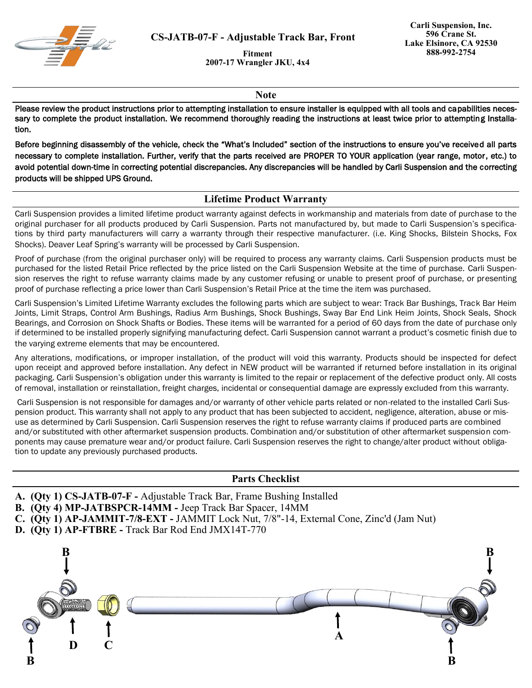

**CS-JATB-07-F - Adjustable Track Bar, Front**

**Fitment 2007-17 Wrangler JKU, 4x4**

**Note**

Please review the product instructions prior to attempting installation to ensure installer is equipped with all tools and capabilities necessary to complete the product installation. We recommend thoroughly reading the instructions at least twice prior to attempting Installation.

Before beginning disassembly of the vehicle, check the "What's Included" section of the instructions to ensure you've received all parts necessary to complete installation. Further, verify that the parts received are PROPER TO YOUR application (year range, motor, etc.) to avoid potential down-time in correcting potential discrepancies. Any discrepancies will be handled by Carli Suspension and the correcting products will be shipped UPS Ground.

## **Lifetime Product Warranty**

Carli Suspension provides a limited lifetime product warranty against defects in workmanship and materials from date of purchase to the original purchaser for all products produced by Carli Suspension. Parts not manufactured by, but made to Carli Suspension's specifications by third party manufacturers will carry a warranty through their respective manufacturer. (i.e. King Shocks, Bilstein Shocks, Fox Shocks). Deaver Leaf Spring's warranty will be processed by Carli Suspension.

Proof of purchase (from the original purchaser only) will be required to process any warranty claims. Carli Suspension products must be purchased for the listed Retail Price reflected by the price listed on the Carli Suspension Website at the time of purchase. Carli Suspension reserves the right to refuse warranty claims made by any customer refusing or unable to present proof of purchase, or presenting proof of purchase reflecting a price lower than Carli Suspension's Retail Price at the time the item was purchased.

Carli Suspension's Limited Lifetime Warranty excludes the following parts which are subject to wear: Track Bar Bushings, Track Bar Heim Joints, Limit Straps, Control Arm Bushings, Radius Arm Bushings, Shock Bushings, Sway Bar End Link Heim Joints, Shock Seals, Shock Bearings, and Corrosion on Shock Shafts or Bodies. These items will be warranted for a period of 60 days from the date of purchase only if determined to be installed properly signifying manufacturing defect. Carli Suspension cannot warrant a product's cosmetic finish due to the varying extreme elements that may be encountered.

Any alterations, modifications, or improper installation, of the product will void this warranty. Products should be inspected for defect upon receipt and approved before installation. Any defect in NEW product will be warranted if returned before installation in its original packaging. Carli Suspension's obligation under this warranty is limited to the repair or replacement of the defective product only. All costs of removal, installation or reinstallation, freight charges, incidental or consequential damage are expressly excluded from this warranty.

Carli Suspension is not responsible for damages and/or warranty of other vehicle parts related or non-related to the installed Carli Suspension product. This warranty shall not apply to any product that has been subjected to accident, negligence, alteration, abuse or misuse as determined by Carli Suspension. Carli Suspension reserves the right to refuse warranty claims if produced parts are combined and/or substituted with other aftermarket suspension products. Combination and/or substitution of other aftermarket suspension components may cause premature wear and/or product failure. Carli Suspension reserves the right to change/alter product without obligation to update any previously purchased products.

## **Parts Checklist**

- **A. (Qty 1) CS-JATB-07-F -** Adjustable Track Bar, Frame Bushing Installed
- **B. (Qty 4) MP-JATBSPCR-14MM -** Jeep Track Bar Spacer, 14MM
- **C. (Qty 1) AP-JAMMIT-7/8-EXT -** JAMMIT Lock Nut, 7/8"-14, External Cone, Zinc'd (Jam Nut)
- **D. (Qty 1) AP-FTBRE -** Track Bar Rod End JMX14T-770